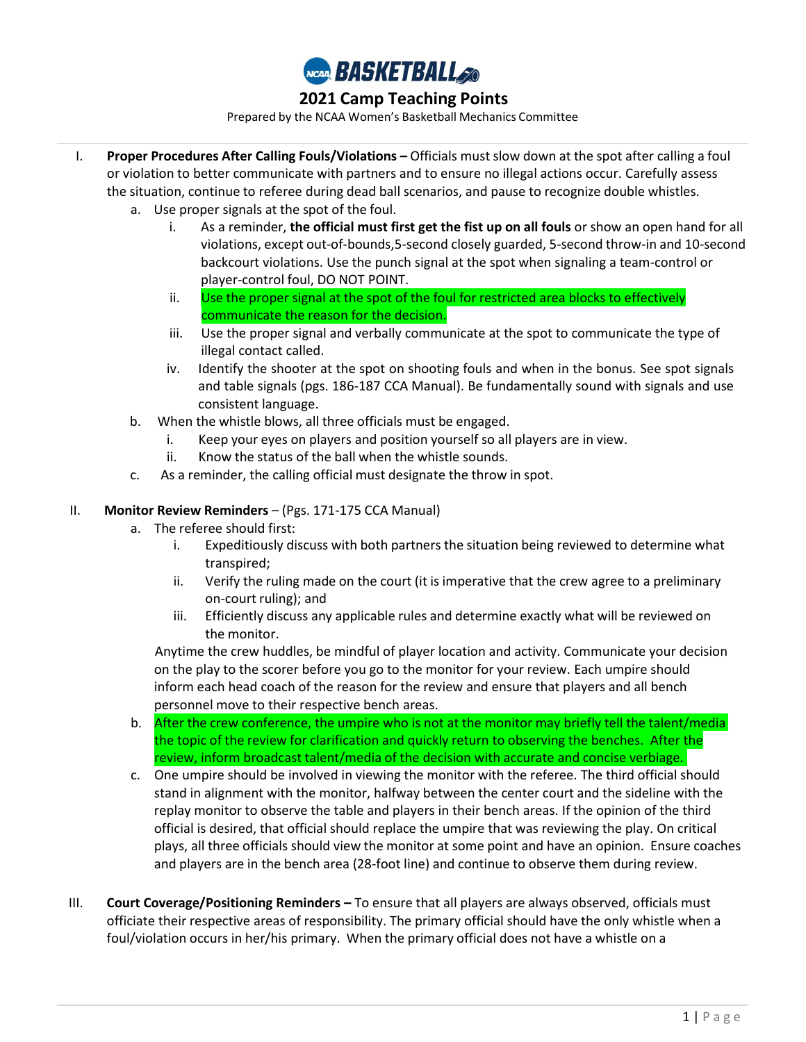

Prepared by the NCAA Women's Basketball Mechanics Committee

- I. **Proper Procedures After Calling Fouls/Violations –** Officials must slow down at the spot after calling a foul or violation to better communicate with partners and to ensure no illegal actions occur. Carefully assess the situation, continue to referee during dead ball scenarios, and pause to recognize double whistles.
	- a. Use proper signals at the spot of the foul.
		- i. As a reminder, **the official must first get the fist up on all fouls** or show an open hand for all violations, except out-of-bounds,5-second closely guarded, 5-second throw-in and 10-second backcourt violations. Use the punch signal at the spot when signaling a team-control or player-control foul, DO NOT POINT.
		- ii. Use the proper signal at the spot of the foul for restricted area blocks to effectively communicate the reason for the decision.
		- iii. Use the proper signal and verbally communicate at the spot to communicate the type of illegal contact called.
		- iv. Identify the shooter at the spot on shooting fouls and when in the bonus. See spot signals and table signals (pgs. 186-187 CCA Manual). Be fundamentally sound with signals and use consistent language.
	- b. When the whistle blows, all three officials must be engaged.
		- i. Keep your eyes on players and position yourself so all players are in view.
		- ii. Know the status of the ball when the whistle sounds.
	- c. As a reminder, the calling official must designate the throw in spot.

### II. **Monitor Review Reminders** – (Pgs. 171-175 CCA Manual)

- a. The referee should first:
	- i. Expeditiously discuss with both partners the situation being reviewed to determine what transpired;
	- ii. Verify the ruling made on the court (it is imperative that the crew agree to a preliminary on-court ruling); and
	- iii. Efficiently discuss any applicable rules and determine exactly what will be reviewed on the monitor.

Anytime the crew huddles, be mindful of player location and activity. Communicate your decision on the play to the scorer before you go to the monitor for your review. Each umpire should inform each head coach of the reason for the review and ensure that players and all bench personnel move to their respective bench areas.

- b. the topic of the review for clarification and quickly return to observing the benches. After the review, inform broadcast talent/media of the decision with accurate and concise verbiage. After the crew conference, the umpire who is not at the monitor may briefly tell the talent/media
- c. One umpire should be involved in viewing the monitor with the referee. The third official should stand in alignment with the monitor, halfway between the center court and the sideline with the replay monitor to observe the table and players in their bench areas. If the opinion of the third official is desired, that official should replace the umpire that was reviewing the play. On critical plays, all three officials should view the monitor at some point and have an opinion. Ensure coaches and players are in the bench area (28-foot line) and continue to observe them during review.
- III. **Court Coverage/Positioning Reminders –** To ensure that all players are always observed, officials must officiate their respective areas of responsibility. The primary official should have the only whistle when a foul/violation occurs in her/his primary. When the primary official does not have a whistle on a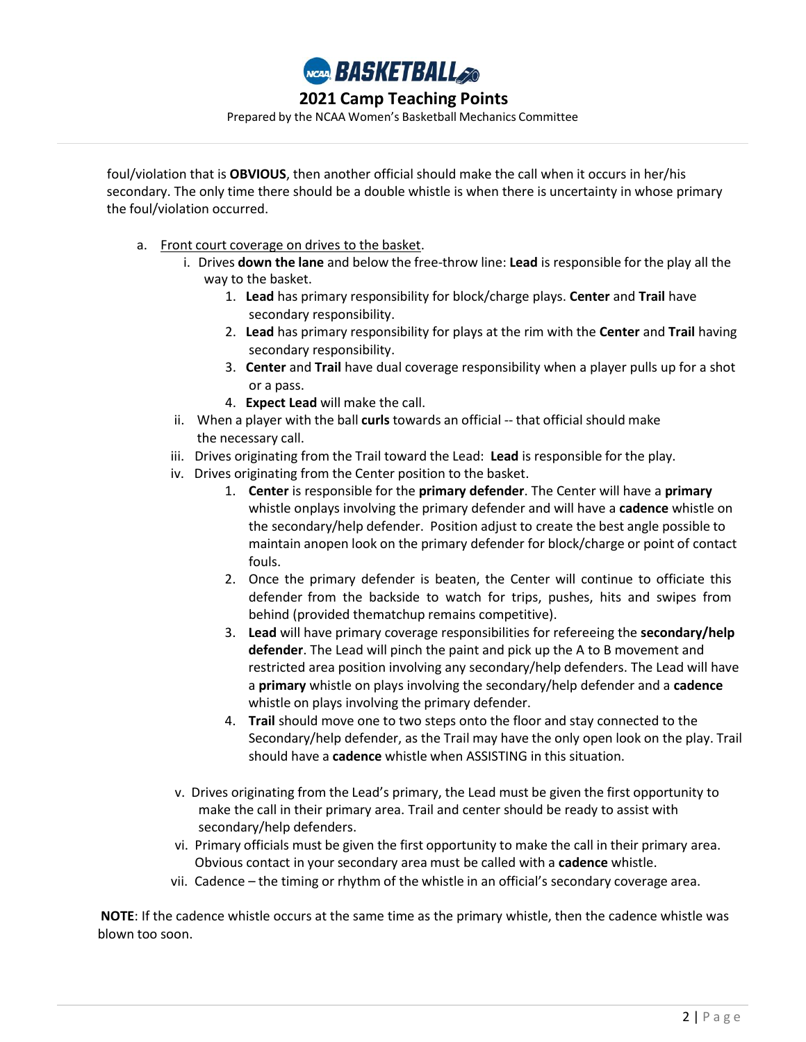

Prepared by the NCAA Women's Basketball Mechanics Committee

foul/violation that is **OBVIOUS**, then another official should make the call when it occurs in her/his secondary. The only time there should be a double whistle is when there is uncertainty in whose primary the foul/violation occurred.

- a. Front court coverage on drives to the basket.
	- i. Drives **down the lane** and below the free-throw line: **Lead** is responsible for the play all the way to the basket.
		- 1. **Lead** has primary responsibility for block/charge plays. **Center** and **Trail** have secondary responsibility.
		- 2. **Lead** has primary responsibility for plays at the rim with the **Center** and **Trail** having secondary responsibility.
		- 3. **Center** and **Trail** have dual coverage responsibility when a player pulls up for a shot or a pass.
		- 4. **Expect Lead** will make the call.
	- ii. When a player with the ball **curls** towards an official -- that official should make the necessary call.
	- iii. Drives originating from the Trail toward the Lead: **Lead** is responsible for the play.
	- iv. Drives originating from the Center position to the basket.
		- 1. **Center** is responsible for the **primary defender**. The Center will have a **primary**  whistle onplays involving the primary defender and will have a **cadence** whistle on the secondary/help defender. Position adjust to create the best angle possible to maintain anopen look on the primary defender for block/charge or point of contact fouls.
		- 2. Once the primary defender is beaten, the Center will continue to officiate this defender from the backside to watch for trips, pushes, hits and swipes from behind (provided thematchup remains competitive).
		- 3. **Lead** will have primary coverage responsibilities for refereeing the **secondary/help defender**. The Lead will pinch the paint and pick up the A to B movement and restricted area position involving any secondary/help defenders. The Lead will have a **primary** whistle on plays involving the secondary/help defender and a **cadence** whistle on plays involving the primary defender.
		- 4. **Trail** should move one to two steps onto the floor and stay connected to the Secondary/help defender, as the Trail may have the only open look on the play. Trail should have a **cadence** whistle when ASSISTING in this situation.
	- v. Drives originating from the Lead's primary, the Lead must be given the first opportunity to make the call in their primary area. Trail and center should be ready to assist with secondary/help defenders.
	- vi. Primary officials must be given the first opportunity to make the call in their primary area. Obvious contact in your secondary area must be called with a **cadence** whistle.
	- vii. Cadence the timing or rhythm of the whistle in an official's secondary coverage area.

**NOTE**: If the cadence whistle occurs at the same time as the primary whistle, then the cadence whistle was blown too soon.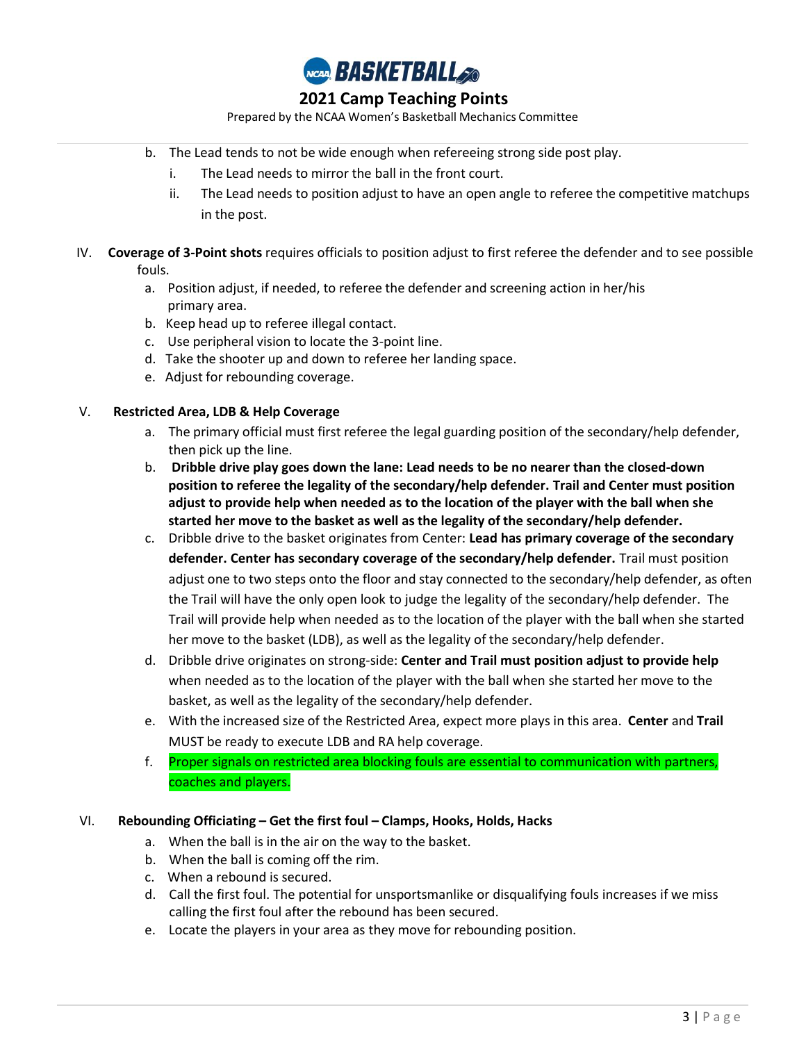

Prepared by the NCAA Women's Basketball Mechanics Committee

- b. The Lead tends to not be wide enough when refereeing strong side post play.
	- i. The Lead needs to mirror the ball in the front court.
	- ii. The Lead needs to position adjust to have an open angle to referee the competitive matchups in the post.
- IV. **Coverage of 3-Point shots** requires officials to position adjust to first referee the defender and to see possible fouls.
	- a. Position adjust, if needed, to referee the defender and screening action in her/his primary area.
	- b. Keep head up to referee illegal contact.
	- c. Use peripheral vision to locate the 3-point line.
	- d. Take the shooter up and down to referee her landing space.
	- e. Adjust for rebounding coverage.

### V. **Restricted Area, LDB & Help Coverage**

- a. The primary official must first referee the legal guarding position of the secondary/help defender, then pick up the line.
- b. **Dribble drive play goes down the lane: Lead needs to be no nearer than the closed-down position to referee the legality of the secondary/help defender. Trail and Center must position adjust to provide help when needed as to the location of the player with the ball when she started her move to the basket as well as the legality of the secondary/help defender.**
- c. Dribble drive to the basket originates from Center: **Lead has primary coverage of the secondary defender. Center has secondary coverage of the secondary/help defender.** Trail must position adjust one to two steps onto the floor and stay connected to the secondary/help defender, as often the Trail will have the only open look to judge the legality of the secondary/help defender. The Trail will provide help when needed as to the location of the player with the ball when she started her move to the basket (LDB), as well as the legality of the secondary/help defender.
- d. Dribble drive originates on strong-side: **Center and Trail must position adjust to provide help** when needed as to the location of the player with the ball when she started her move to the basket, as well as the legality of the secondary/help defender.
- e. With the increased size of the Restricted Area, expect more plays in this area. **Center** and **Trail** MUST be ready to execute LDB and RA help coverage.
- f. Proper signals on restricted area blocking fouls are essential to communication with partners, coaches and players.

### VI. **Rebounding Officiating – Get the first foul – Clamps, Hooks, Holds, Hacks**

- a. When the ball is in the air on the way to the basket.
- b. When the ball is coming off the rim.
- c. When a rebound is secured.
- d. Call the first foul. The potential for unsportsmanlike or disqualifying fouls increases if we miss calling the first foul after the rebound has been secured.
- e. Locate the players in your area as they move for rebounding position.